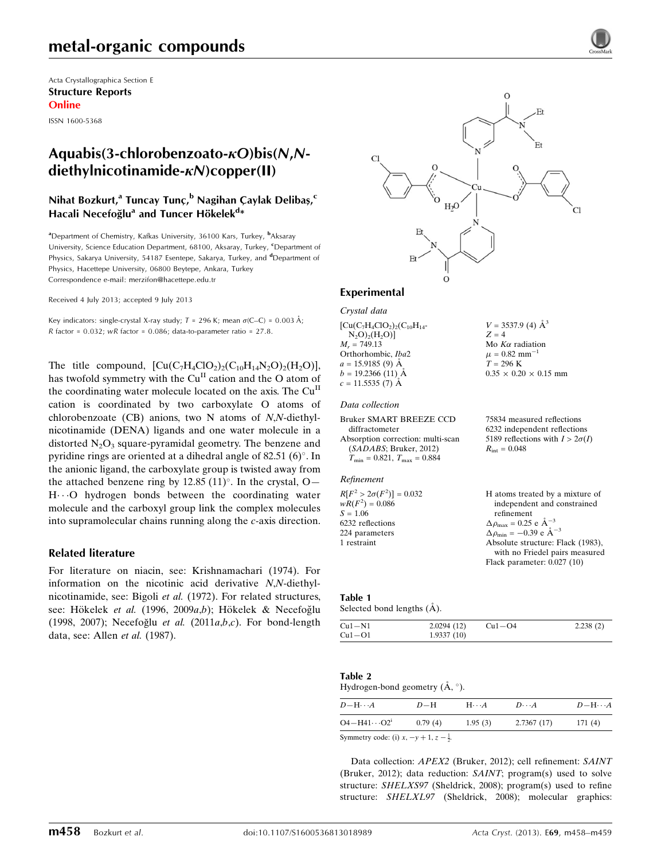# metal-organic compounds

Acta Crystallographica Section E Structure Reports Online

ISSN 1600-5368

## Aquabis(3-chlorobenzoato- $\kappa$ O)bis(N,N $diethvlnicotinamide- $\kappa$ N)copper(II)$

## Nihat Bozkurt,<sup>a</sup> Tuncay Tunç,<sup>b</sup> Nagihan Çaylak Delibaş,<sup>c</sup> Hacali Necefoğlu<sup>a</sup> and Tuncer Hökelek<sup>d</sup>\*

<sup>a</sup>Department of Chemistry, Kafkas University, 36100 Kars, Turkey, <sup>b</sup>Aksaray University, Science Education Department, 68100, Aksaray, Turkey, <sup>c</sup>Department of Physics, Sakarya University, 54187 Esentepe, Sakarya, Turkey, and <sup>d</sup>Department of Physics, Hacettepe University, 06800 Beytepe, Ankara, Turkey Correspondence e-mail: [merzifon@hacettepe.edu.tr](https://scripts.iucr.org/cgi-bin/cr.cgi?rm=pdfbb&cnor=xu5719&bbid=BB16)

Received 4 July 2013; accepted 9 July 2013

Key indicators: single-crystal X-ray study;  $T = 296$  K; mean  $\sigma$ (C–C) = 0.003 Å; R factor =  $0.032$ ; wR factor =  $0.086$ ; data-to-parameter ratio =  $27.8$ .

The title compound,  $[Cu(C_7H_4ClO_2)_2(C_{10}H_{14}N_2O)_2(H_2O)],$ has twofold symmetry with the Cu<sup>II</sup> cation and the O atom of the coordinating water molecule located on the axis. The  $Cu<sup>H</sup>$ cation is coordinated by two carboxylate O atoms of chlorobenzoate (CB) anions, two N atoms of N,N-diethylnicotinamide (DENA) ligands and one water molecule in a distorted  $N_2O_3$  square-pyramidal geometry. The benzene and pyridine rings are oriented at a dihedral angle of  $82.51$  (6) $^{\circ}$ . In the anionic ligand, the carboxylate group is twisted away from the attached benzene ring by  $12.85$  (11)°. In the crystal, O- $H \cdot \cdot O$  hydrogen bonds between the coordinating water molecule and the carboxyl group link the complex molecules into supramolecular chains running along the c-axis direction.

### Related literature

For literature on niacin, see: Krishnamachari (1974). For information on the nicotinic acid derivative N,N-diethylnicotinamide, see: Bigoli et al. (1972). For related structures, see: Hökelek et al. (1996, 2009a,b); Hökelek & Necefoğlu (1998, 2007); Necefoğlu et al. (2011a, $b$ , $c$ ). For bond-length data, see: Allen et al. (1987).



 $V = 3537.9$  (4)  $\AA^3$ 

 $0.35 \times 0.20 \times 0.15$  mm

75834 measured reflections 6232 independent reflections 5189 reflections with  $I > 2\sigma(I)$ 

Flack parameter: 0.027 (10)

 $Z = 4$ Mo  $K\alpha$  radiation  $\mu = 0.82$  mm<sup>-1</sup>  $T = 296$  K

 $R_{\text{int}} = 0.048$ 

### Experimental

Crystal data

 $[Cu(C<sub>7</sub>H<sub>4</sub>ClO<sub>2</sub>)<sub>2</sub>(C<sub>10</sub>H<sub>14</sub> N_2O_2(H_2O)$  $M_r = 749.13$ Orthorhombic, Iba2  $a = 15.9185$  (9)  $\AA$  $b = 19.2366$  (11) Å  $c = 11.5535(7)$  Å

#### Data collection

```
Bruker SMART BREEZE CCD
  diffractometer
Absorption correction: multi-scan
  (SADABS; Bruker, 2012)
  T_{\text{min}} = 0.821, T_{\text{max}} = 0.884
```
#### Refinement

 $R[F^2 > 2\sigma(F^2)] = 0.032$ <br>  $wR(F^2) = 0.086$  $S = 1.06$ 6232 reflections 224 parameters 1 restraint H atoms treated by a mixture of independent and constrained refinement  $\Delta \rho_{\text{max}} = 0.25 \text{ e } \text{\AA}_{\text{\tiny s}}^{-3}$  $\Delta \rho_{\text{min}} = -0.39 \text{ e A}^{-3}$ Absolute structure: Flack (1983), with no Friedel pairs measured

### Table 1

Selected bond lengths  $(\AA)$ .

| $Cu1-N1$ | 2.0294(12) | $Cu1-O4$ | 2.238(2) |
|----------|------------|----------|----------|
| $Cu1-O1$ | 1.9337(10) |          |          |

### Table 2

### Hydrogen-bond geometry  $(\AA, \degree)$ .

| $D$ $\!-\mathrm{H}\cdots A$ | $D-H$   | $H \cdot \cdot \cdot A$ | $D\cdots A$ | $D - H \cdots A$ |
|-----------------------------|---------|-------------------------|-------------|------------------|
| $O4 - H41 \cdots O2^1$      | 0.79(4) | 1.95(3)                 | 2.7367(17)  | 171(4)           |
|                             |         |                         |             |                  |

Symmetry code: (i)  $x, -y + 1, z - \frac{1}{2}$ .

Data collection: APEX2 (Bruker, 2012); cell refinement: SAINT (Bruker, 2012); data reduction: SAINT; program(s) used to solve structure: SHELXS97 (Sheldrick, 2008); program(s) used to refine structure: SHELXL97 (Sheldrick, 2008); molecular graphics: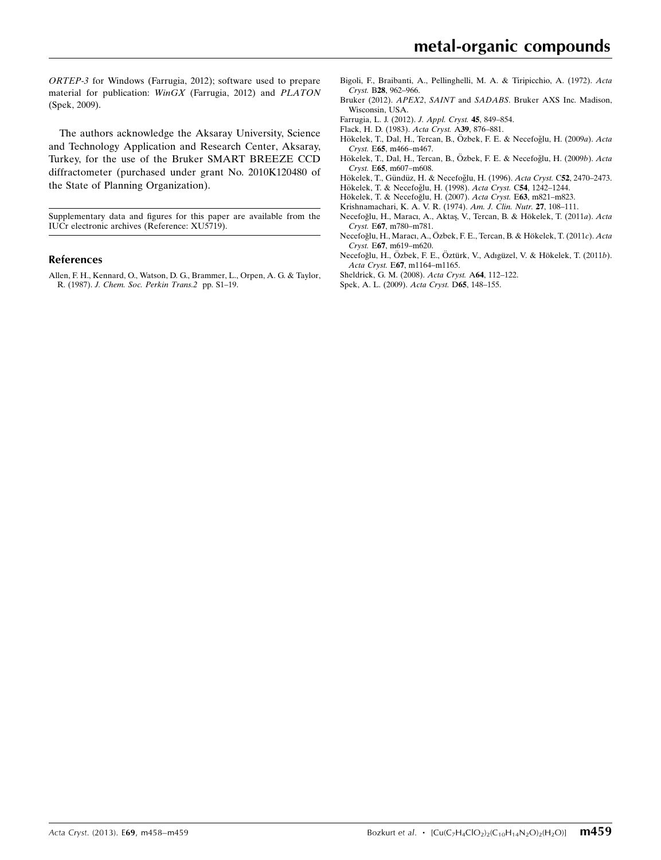ORTEP-3 for Windows (Farrugia, 2012); software used to prepare material for publication: WinGX (Farrugia, 2012) and PLATON (Spek, 2009).

The authors acknowledge the Aksaray University, Science and Technology Application and Research Center, Aksaray, Turkey, for the use of the Bruker SMART BREEZE CCD diffractometer (purchased under grant No. 2010K120480 of the State of Planning Organization).

Supplementary data and figures for this paper are available from the IUCr electronic archives (Reference: XU5719).

#### References

[Allen, F. H., Kennard, O., Watson, D. G., Brammer, L., Orpen, A. G. & Taylor,](https://scripts.iucr.org/cgi-bin/cr.cgi?rm=pdfbb&cnor=xu5719&bbid=BB1) R. (1987). [J. Chem. Soc. Perkin Trans.2](https://scripts.iucr.org/cgi-bin/cr.cgi?rm=pdfbb&cnor=xu5719&bbid=BB1) pp. S1–19.

- [Bigoli, F., Braibanti, A., Pellinghelli, M. A. & Tiripicchio, A. \(1972\).](https://scripts.iucr.org/cgi-bin/cr.cgi?rm=pdfbb&cnor=xu5719&bbid=BB2) Acta Cryst. B28[, 962–966.](https://scripts.iucr.org/cgi-bin/cr.cgi?rm=pdfbb&cnor=xu5719&bbid=BB2)
- Bruker (2012). APEX2, SAINT and SADABS[. Bruker AXS Inc. Madison,](https://scripts.iucr.org/cgi-bin/cr.cgi?rm=pdfbb&cnor=xu5719&bbid=BB3) [Wisconsin, USA.](https://scripts.iucr.org/cgi-bin/cr.cgi?rm=pdfbb&cnor=xu5719&bbid=BB3)
- [Farrugia, L. J. \(2012\).](https://scripts.iucr.org/cgi-bin/cr.cgi?rm=pdfbb&cnor=xu5719&bbid=BB4) J. Appl. Cryst. 45, 849–854.
- [Flack, H. D. \(1983\).](https://scripts.iucr.org/cgi-bin/cr.cgi?rm=pdfbb&cnor=xu5719&bbid=BB5) Acta Cryst. A39, 876–881.
- Hökelek, T., Dal, H., Tercan, B., Özbek, F. E. & Necefoğlu, H. (2009a). Acta Cryst. E65[, m466–m467.](https://scripts.iucr.org/cgi-bin/cr.cgi?rm=pdfbb&cnor=xu5719&bbid=BB6)
- Hökelek, T., Dal, H., Tercan, B., Özbek, F. E. & Necefoğlu, H. (2009b). Acta Cryst. E65[, m607–m608.](https://scripts.iucr.org/cgi-bin/cr.cgi?rm=pdfbb&cnor=xu5719&bbid=BB7)
- Hökelek, T., Gündüz, H. & Necefoğlu, H. (1996). Acta Cryst. C52, 2470–2473. Hökelek, T. & Necefoğlu, H. (1998). Acta Cryst. C54, 1242-1244.
- Hökelek, T. & Necefoğlu, H. (2007). Acta Cryst. E63, m821-m823.
- [Krishnamachari, K. A. V. R. \(1974\).](https://scripts.iucr.org/cgi-bin/cr.cgi?rm=pdfbb&cnor=xu5719&bbid=BB11) Am. J. Clin. Nutr. 27, 108–111.
- Necefoğlu, H., Maracı, A., Aktaş, V., Tercan, B. & Hökelek, T. (2011a). Acta Cryst. E67[, m780–m781.](https://scripts.iucr.org/cgi-bin/cr.cgi?rm=pdfbb&cnor=xu5719&bbid=BB12)
- Necefoğlu, H., Maracı, A., Özbek, F. E., Tercan, B. & Hökelek, T. (2011c). Acta Cryst. E67[, m619–m620.](https://scripts.iucr.org/cgi-bin/cr.cgi?rm=pdfbb&cnor=xu5719&bbid=BB13)
- Necefoğlu, H., Özbek, F. E., Öztürk, V., Adıgüzel, V. & Hökelek, T. (2011b). Acta Cryst. E67[, m1164–m1165.](https://scripts.iucr.org/cgi-bin/cr.cgi?rm=pdfbb&cnor=xu5719&bbid=BB14)
- [Sheldrick, G. M. \(2008\).](https://scripts.iucr.org/cgi-bin/cr.cgi?rm=pdfbb&cnor=xu5719&bbid=BB15) Acta Cryst. A64, 112–122.
- [Spek, A. L. \(2009\).](https://scripts.iucr.org/cgi-bin/cr.cgi?rm=pdfbb&cnor=xu5719&bbid=BB16) Acta Cryst. D65, 148–155.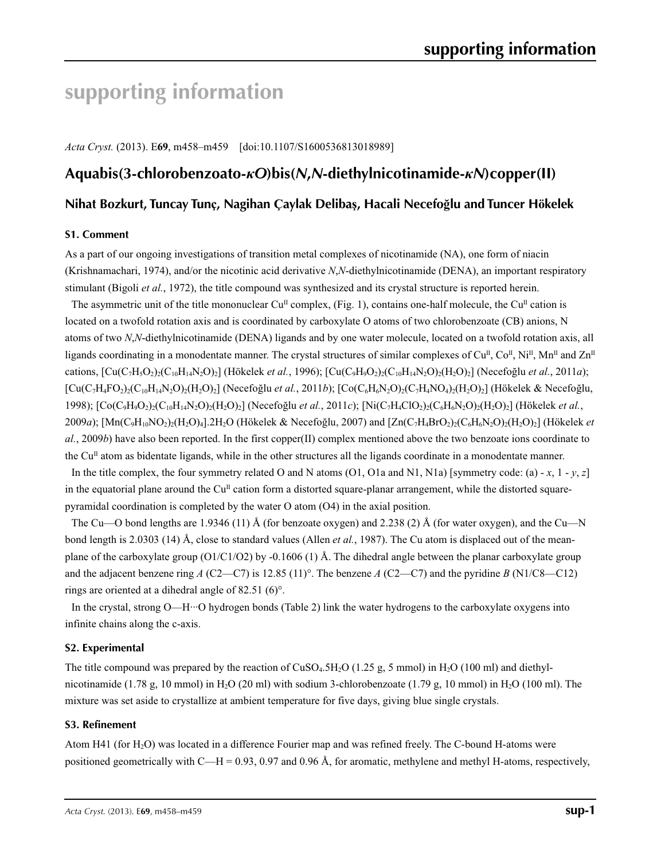# **supporting information**

*Acta Cryst.* (2013). E**69**, m458–m459 [doi:10.1107/S1600536813018989]

## **Aquabis(3-chlorobenzoato-***κO***)bis(***N***,***N***-diethylnicotinamide-***κN***)copper(II)**

### **Nihat Bozkurt, Tuncay Tunç, Nagihan Çaylak Delibaş, Hacali Necefoğlu and Tuncer Hökelek**

### **S1. Comment**

As a part of our ongoing investigations of transition metal complexes of nicotinamide (NA), one form of niacin (Krishnamachari, 1974), and/or the nicotinic acid derivative *N*,*N*-diethylnicotinamide (DENA), an important respiratory stimulant (Bigoli *et al.*, 1972), the title compound was synthesized and its crystal structure is reported herein.

The asymmetric unit of the title mononuclear Cu<sup>II</sup> complex, (Fig. 1), contains one-half molecule, the Cu<sup>II</sup> cation is located on a twofold rotation axis and is coordinated by carboxylate O atoms of two chlorobenzoate (CB) anions, N atoms of two *N*,*N*-diethylnicotinamide (DENA) ligands and by one water molecule, located on a twofold rotation axis, all ligands coordinating in a monodentate manner. The crystal structures of similar complexes of  $Cu<sup>II</sup>$ ,  $Co<sup>II</sup>$ ,  $Ni<sup>II</sup>$ ,  $Mn<sup>II</sup>$  and  $Zn<sup>II</sup>$ cations,  $[Cu(C_7H_3O_2)(C_{10}H_{14}N_2O)_2]$  (Hökelek *et al.*, 1996);  $[Cu(C_9H_9O_2)(C_{10}H_{14}N_2O)_2(H_2O)_2]$  (Necefoğlu *et al.*, 2011*a*); [Cu(C7H4FO2)2(C10H14N2O)2(H2O)2] (Necefoğlu *et al.*, 2011*b*); [Co(C6H6N2O)2(C7H4NO4)2(H2O)2] (Hökelek & Necefoğlu, 1998); [Co(C9H9O2)2(C10H14N2O)2(H2O)2] (Necefoğlu *et al.*, 2011*c*); [Ni(C7H4ClO2)2(C6H6N2O)2(H2O)2] (Hökelek *et al.*, 2009*a*); [Mn(C9H10NO2)2(H2O)4].2H2O (Hökelek & Necefoğlu, 2007) and [Zn(C7H4BrO2)2(C6H6N2O)2(H2O)2] (Hökelek *et al.*, 2009*b*) have also been reported. In the first copper(II) complex mentioned above the two benzoate ions coordinate to the  $Cu<sup>II</sup>$  atom as bidentate ligands, while in the other structures all the ligands coordinate in a monodentate manner.

In the title complex, the four symmetry related O and N atoms (O1, O1a and N1, N1a) [symmetry code: (a) - *x*, 1 -  $v$ , *z*] in the equatorial plane around the  $Cu<sup>II</sup>$  cation form a distorted square-planar arrangement, while the distorted squarepyramidal coordination is completed by the water O atom (O4) in the axial position.

The Cu—O bond lengths are 1.9346 (11) Å (for benzoate oxygen) and 2.238 (2) Å (for water oxygen), and the Cu—N bond length is 2.0303 (14) Å, close to standard values (Allen *et al.*, 1987). The Cu atom is displaced out of the meanplane of the carboxylate group (O1/C1/O2) by -0.1606 (1) Å. The dihedral angle between the planar carboxylate group and the adjacent benzene ring *A* (C2—C7) is 12.85 (11)°. The benzene *A* (C2—C7) and the pyridine *B* (N1/C8—C12) rings are oriented at a dihedral angle of 82.51 (6)°.

In the crystal, strong O—H···O hydrogen bonds (Table 2) link the water hydrogens to the carboxylate oxygens into infinite chains along the c-axis.

### **S2. Experimental**

The title compound was prepared by the reaction of  $CuSO<sub>4</sub>5H<sub>2</sub>O$  (1.25 g, 5 mmol) in H<sub>2</sub>O (100 ml) and diethylnicotinamide (1.78 g, 10 mmol) in H<sub>2</sub>O (20 ml) with sodium 3-chlorobenzoate (1.79 g, 10 mmol) in H<sub>2</sub>O (100 ml). The mixture was set aside to crystallize at ambient temperature for five days, giving blue single crystals.

### **S3. Refinement**

Atom H41 (for H2O) was located in a difference Fourier map and was refined freely. The C-bound H-atoms were positioned geometrically with C—H = 0.93, 0.97 and 0.96 Å, for aromatic, methylene and methyl H-atoms, respectively,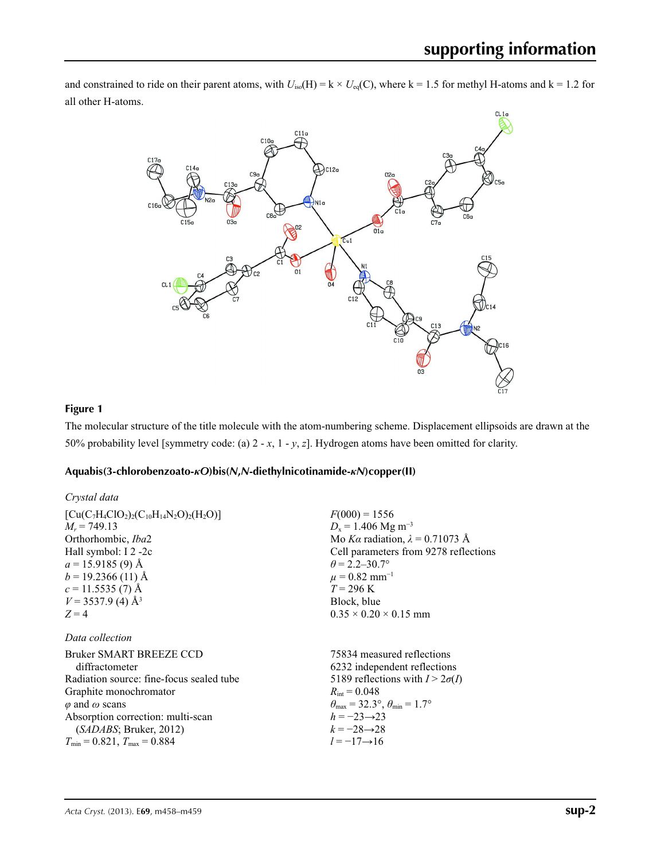and constrained to ride on their parent atoms, with  $U_{iso}(H) = k \times U_{eq}(C)$ , where k = 1.5 for methyl H-atoms and k = 1.2 for all other H-atoms.



## **Figure 1**

The molecular structure of the title molecule with the atom-numbering scheme. Displacement ellipsoids are drawn at the 50% probability level [symmetry code: (a) 2 - *x*, 1 - *y*, *z*]. Hydrogen atoms have been omitted for clarity.

### **Aquabis(3-chlorobenzoato-***κO***)bis(***N***,***N***-diethylnicotinamide-***κN***)copper(II)**

| Crystal data                             |                                                                         |
|------------------------------------------|-------------------------------------------------------------------------|
| $[Cu(C7H4ClO2)2(C10H14N2O)2(H2O)]$       | $F(000) = 1556$                                                         |
| $M_r = 749.13$                           | $D_x = 1.406$ Mg m <sup>-3</sup>                                        |
| Orthorhombic, <i>Iba2</i>                | Mo Ka radiation, $\lambda = 0.71073$ Å                                  |
| Hall symbol: I 2 -2c                     | Cell parameters from 9278 reflections                                   |
| $a = 15.9185(9)$ Å                       | $\theta$ = 2.2–30.7°                                                    |
| $b = 19.2366(11)$ Å                      | $\mu = 0.82$ mm <sup>-1</sup>                                           |
| $c = 11.5535(7)$ Å                       | $T = 296 \text{ K}$                                                     |
| $V = 3537.9$ (4) Å <sup>3</sup>          | Block, blue                                                             |
| $Z=4$                                    | $0.35 \times 0.20 \times 0.15$ mm                                       |
| Data collection                          |                                                                         |
| Bruker SMART BREEZE CCD                  | 75834 measured reflections                                              |
| diffractometer                           | 6232 independent reflections                                            |
| Radiation source: fine-focus sealed tube | 5189 reflections with $I > 2\sigma(I)$                                  |
| Graphite monochromator                   | $R_{\rm int} = 0.048$                                                   |
| $\varphi$ and $\omega$ scans             | $\theta_{\text{max}} = 32.3^{\circ}, \theta_{\text{min}} = 1.7^{\circ}$ |
| Absorption correction: multi-scan        | $h = -23 \rightarrow 23$                                                |
| (SADABS; Bruker, 2012)                   | $k = -28 \rightarrow 28$                                                |
| $T_{\min} = 0.821$ , $T_{\max} = 0.884$  | $l = -17 \rightarrow 16$                                                |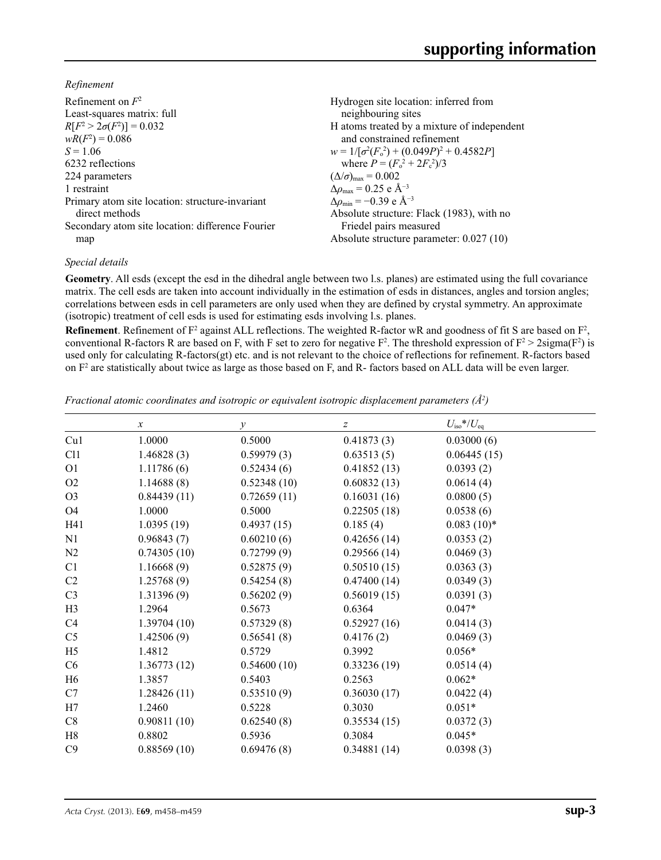*Refinement*

| Refinement on $F^2$                              | Hydrogen site location: inferred from            |
|--------------------------------------------------|--------------------------------------------------|
| Least-squares matrix: full                       | neighbouring sites                               |
| $R[F^2 > 2\sigma(F^2)] = 0.032$                  | H atoms treated by a mixture of independent      |
| $wR(F^2) = 0.086$                                | and constrained refinement                       |
| $S = 1.06$                                       | $w = 1/[\sigma^2(F_0^2) + (0.049P)^2 + 0.4582P]$ |
| 6232 reflections                                 | where $P = (F_o^2 + 2F_c^2)/3$                   |
| 224 parameters                                   | $(\Delta/\sigma)_{\text{max}} = 0.002$           |
| 1 restraint                                      | $\Delta\rho_{\rm max} = 0.25$ e Å <sup>-3</sup>  |
| Primary atom site location: structure-invariant  | $\Delta\rho_{\rm min} = -0.39 \text{ e A}^{-3}$  |
| direct methods                                   | Absolute structure: Flack (1983), with no        |
| Secondary atom site location: difference Fourier | Friedel pairs measured                           |
| map                                              | Absolute structure parameter: 0.027 (10)         |

### *Special details*

**Geometry**. All esds (except the esd in the dihedral angle between two l.s. planes) are estimated using the full covariance matrix. The cell esds are taken into account individually in the estimation of esds in distances, angles and torsion angles; correlations between esds in cell parameters are only used when they are defined by crystal symmetry. An approximate (isotropic) treatment of cell esds is used for estimating esds involving l.s. planes.

**Refinement**. Refinement of  $F^2$  against ALL reflections. The weighted R-factor wR and goodness of fit S are based on  $F^2$ , conventional R-factors R are based on F, with F set to zero for negative  $F^2$ . The threshold expression of  $F^2 > 2 \text{sigma}(F^2)$  is used only for calculating R-factors(gt) etc. and is not relevant to the choice of reflections for refinement. R-factors based on  $F<sup>2</sup>$  are statistically about twice as large as those based on F, and R- factors based on ALL data will be even larger.

*Fractional atomic coordinates and isotropic or equivalent isotropic displacement parameters (Å<sup>2</sup>)* 

|                | $\boldsymbol{x}$ | $\mathcal{Y}$ | z           | $U_{\rm iso}$ */ $U_{\rm eq}$ |  |
|----------------|------------------|---------------|-------------|-------------------------------|--|
| Cu1            | 1.0000           | 0.5000        | 0.41873(3)  | 0.03000(6)                    |  |
| C11            | 1.46828(3)       | 0.59979(3)    | 0.63513(5)  | 0.06445(15)                   |  |
| O <sub>1</sub> | 1.11786(6)       | 0.52434(6)    | 0.41852(13) | 0.0393(2)                     |  |
| O <sub>2</sub> | 1.14688(8)       | 0.52348(10)   | 0.60832(13) | 0.0614(4)                     |  |
| O <sub>3</sub> | 0.84439(11)      | 0.72659(11)   | 0.16031(16) | 0.0800(5)                     |  |
| O <sub>4</sub> | 1.0000           | 0.5000        | 0.22505(18) | 0.0538(6)                     |  |
| H41            | 1.0395(19)       | 0.4937(15)    | 0.185(4)    | $0.083(10)*$                  |  |
| N1             | 0.96843(7)       | 0.60210(6)    | 0.42656(14) | 0.0353(2)                     |  |
| N2             | 0.74305(10)      | 0.72799(9)    | 0.29566(14) | 0.0469(3)                     |  |
| C1             | 1.16668(9)       | 0.52875(9)    | 0.50510(15) | 0.0363(3)                     |  |
| C <sub>2</sub> | 1.25768(9)       | 0.54254(8)    | 0.47400(14) | 0.0349(3)                     |  |
| C <sub>3</sub> | 1.31396(9)       | 0.56202(9)    | 0.56019(15) | 0.0391(3)                     |  |
| H <sub>3</sub> | 1.2964           | 0.5673        | 0.6364      | $0.047*$                      |  |
| C4             | 1.39704(10)      | 0.57329(8)    | 0.52927(16) | 0.0414(3)                     |  |
| C <sub>5</sub> | 1.42506(9)       | 0.56541(8)    | 0.4176(2)   | 0.0469(3)                     |  |
| H <sub>5</sub> | 1.4812           | 0.5729        | 0.3992      | $0.056*$                      |  |
| C6             | 1.36773(12)      | 0.54600(10)   | 0.33236(19) | 0.0514(4)                     |  |
| H <sub>6</sub> | 1.3857           | 0.5403        | 0.2563      | $0.062*$                      |  |
| C7             | 1.28426(11)      | 0.53510(9)    | 0.36030(17) | 0.0422(4)                     |  |
| H7             | 1.2460           | 0.5228        | 0.3030      | $0.051*$                      |  |
| C8             | 0.90811(10)      | 0.62540(8)    | 0.35534(15) | 0.0372(3)                     |  |
| H8             | 0.8802           | 0.5936        | 0.3084      | $0.045*$                      |  |
| C9             | 0.88569(10)      | 0.69476(8)    | 0.34881(14) | 0.0398(3)                     |  |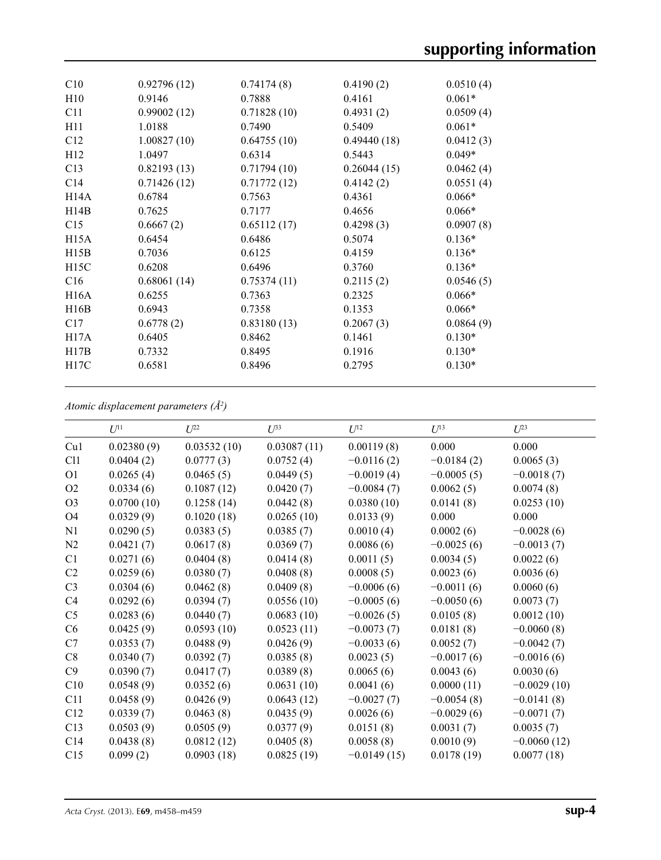| C10  | 0.92796(12) | 0.74174(8)  | 0.4190(2)   | 0.0510(4) |
|------|-------------|-------------|-------------|-----------|
| H10  | 0.9146      | 0.7888      | 0.4161      | $0.061*$  |
| C11  | 0.99002(12) | 0.71828(10) | 0.4931(2)   | 0.0509(4) |
| H11  | 1.0188      | 0.7490      | 0.5409      | $0.061*$  |
| C12  | 1.00827(10) | 0.64755(10) | 0.49440(18) | 0.0412(3) |
| H12  | 1.0497      | 0.6314      | 0.5443      | $0.049*$  |
| C13  | 0.82193(13) | 0.71794(10) | 0.26044(15) | 0.0462(4) |
| C14  | 0.71426(12) | 0.71772(12) | 0.4142(2)   | 0.0551(4) |
| H14A | 0.6784      | 0.7563      | 0.4361      | $0.066*$  |
| H14B | 0.7625      | 0.7177      | 0.4656      | $0.066*$  |
| C15  | 0.6667(2)   | 0.65112(17) | 0.4298(3)   | 0.0907(8) |
| H15A | 0.6454      | 0.6486      | 0.5074      | $0.136*$  |
| H15B | 0.7036      | 0.6125      | 0.4159      | $0.136*$  |
| H15C | 0.6208      | 0.6496      | 0.3760      | $0.136*$  |
| C16  | 0.68061(14) | 0.75374(11) | 0.2115(2)   | 0.0546(5) |
| H16A | 0.6255      | 0.7363      | 0.2325      | $0.066*$  |
| H16B | 0.6943      | 0.7358      | 0.1353      | $0.066*$  |
| C17  | 0.6778(2)   | 0.83180(13) | 0.2067(3)   | 0.0864(9) |
| H17A | 0.6405      | 0.8462      | 0.1461      | $0.130*$  |
| H17B | 0.7332      | 0.8495      | 0.1916      | $0.130*$  |
| H17C | 0.6581      | 0.8496      | 0.2795      | $0.130*$  |
|      |             |             |             |           |

*Atomic displacement parameters (Å2 )*

|                | $U^{11}$   | $U^{22}$    | $U^{33}$    | $U^{12}$      | $U^{13}$     | $U^{23}$      |
|----------------|------------|-------------|-------------|---------------|--------------|---------------|
| Cu1            | 0.02380(9) | 0.03532(10) | 0.03087(11) | 0.00119(8)    | 0.000        | 0.000         |
| C11            | 0.0404(2)  | 0.0777(3)   | 0.0752(4)   | $-0.0116(2)$  | $-0.0184(2)$ | 0.0065(3)     |
| O <sub>1</sub> | 0.0265(4)  | 0.0465(5)   | 0.0449(5)   | $-0.0019(4)$  | $-0.0005(5)$ | $-0.0018(7)$  |
| O2             | 0.0334(6)  | 0.1087(12)  | 0.0420(7)   | $-0.0084(7)$  | 0.0062(5)    | 0.0074(8)     |
| O <sub>3</sub> | 0.0700(10) | 0.1258(14)  | 0.0442(8)   | 0.0380(10)    | 0.0141(8)    | 0.0253(10)    |
| <b>O4</b>      | 0.0329(9)  | 0.1020(18)  | 0.0265(10)  | 0.0133(9)     | 0.000        | 0.000         |
| N1             | 0.0290(5)  | 0.0383(5)   | 0.0385(7)   | 0.0010(4)     | 0.0002(6)    | $-0.0028(6)$  |
| N2             | 0.0421(7)  | 0.0617(8)   | 0.0369(7)   | 0.0086(6)     | $-0.0025(6)$ | $-0.0013(7)$  |
| C <sub>1</sub> | 0.0271(6)  | 0.0404(8)   | 0.0414(8)   | 0.0011(5)     | 0.0034(5)    | 0.0022(6)     |
| C <sub>2</sub> | 0.0259(6)  | 0.0380(7)   | 0.0408(8)   | 0.0008(5)     | 0.0023(6)    | 0.0036(6)     |
| C <sub>3</sub> | 0.0304(6)  | 0.0462(8)   | 0.0409(8)   | $-0.0006(6)$  | $-0.0011(6)$ | 0.0060(6)     |
| C4             | 0.0292(6)  | 0.0394(7)   | 0.0556(10)  | $-0.0005(6)$  | $-0.0050(6)$ | 0.0073(7)     |
| C <sub>5</sub> | 0.0283(6)  | 0.0440(7)   | 0.0683(10)  | $-0.0026(5)$  | 0.0105(8)    | 0.0012(10)    |
| C6             | 0.0425(9)  | 0.0593(10)  | 0.0523(11)  | $-0.0073(7)$  | 0.0181(8)    | $-0.0060(8)$  |
| C7             | 0.0353(7)  | 0.0488(9)   | 0.0426(9)   | $-0.0033(6)$  | 0.0052(7)    | $-0.0042(7)$  |
| C8             | 0.0340(7)  | 0.0392(7)   | 0.0385(8)   | 0.0023(5)     | $-0.0017(6)$ | $-0.0016(6)$  |
| C9             | 0.0390(7)  | 0.0417(7)   | 0.0389(8)   | 0.0065(6)     | 0.0043(6)    | 0.0030(6)     |
| C10            | 0.0548(9)  | 0.0352(6)   | 0.0631(10)  | 0.0041(6)     | 0.0000(11)   | $-0.0029(10)$ |
| C11            | 0.0458(9)  | 0.0426(9)   | 0.0643(12)  | $-0.0027(7)$  | $-0.0054(8)$ | $-0.0141(8)$  |
| C12            | 0.0339(7)  | 0.0463(8)   | 0.0435(9)   | 0.0026(6)     | $-0.0029(6)$ | $-0.0071(7)$  |
| C13            | 0.0503(9)  | 0.0505(9)   | 0.0377(9)   | 0.0151(8)     | 0.0031(7)    | 0.0035(7)     |
| C14            | 0.0438(8)  | 0.0812(12)  | 0.0405(8)   | 0.0058(8)     | 0.0010(9)    | $-0.0060(12)$ |
| C15            | 0.099(2)   | 0.0903(18)  | 0.0825(19)  | $-0.0149(15)$ | 0.0178(19)   | 0.0077(18)    |
|                |            |             |             |               |              |               |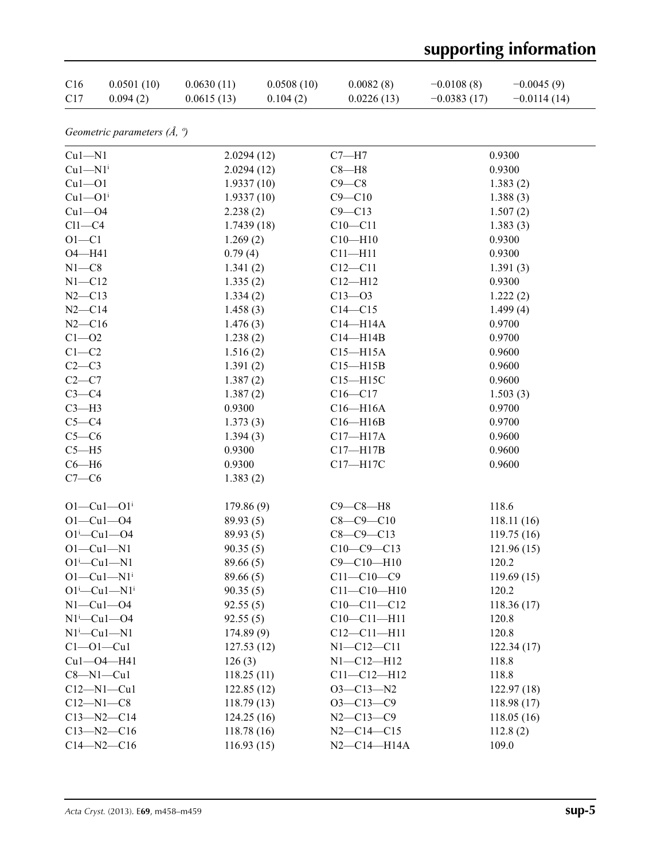# **supporting information**

| C16             | 0.0501(10) | 0.0630(11) | 0.0508(10) | 0.0082(8)  | $-0.0108(8)$  | $-0.0045(9)$  |
|-----------------|------------|------------|------------|------------|---------------|---------------|
| C <sub>17</sub> | 0.094(2)   | 0.0615(13) | 0.104(2)   | 0.0226(13) | $-0.0383(17)$ | $-0.0114(14)$ |

*Geometric parameters (Å, º)*

| $Cu1-M1$                                           | 2.0294(12) | $C7 - H7$         | 0.9300     |
|----------------------------------------------------|------------|-------------------|------------|
| $Cu1-M1$ <sup>i</sup>                              | 2.0294(12) | $C8 - H8$         | 0.9300     |
| $Cu1 - O1$                                         | 1.9337(10) | $C9 - C8$         | 1.383(2)   |
| $Cu1 - O1$ <sup>i</sup>                            | 1.9337(10) | $C9 - C10$        | 1.388(3)   |
| $Cu1 - O4$                                         | 2.238(2)   | $C9 - C13$        | 1.507(2)   |
| $Cl1-C4$                                           | 1.7439(18) | $C10 - C11$       | 1.383(3)   |
| $O1 - C1$                                          | 1.269(2)   | $C10 - H10$       | 0.9300     |
| O4-H41                                             | 0.79(4)    | $C11 - H11$       | 0.9300     |
| $N1 - C8$                                          | 1.341(2)   | $C12-C11$         | 1.391(3)   |
| $N1 - C12$                                         | 1.335(2)   | $C12 - H12$       | 0.9300     |
| $N2 - C13$                                         | 1.334(2)   | $C13 - 03$        | 1.222(2)   |
| $N2-C14$                                           | 1.458(3)   | $C14 - C15$       | 1.499(4)   |
| $N2 - C16$                                         | 1.476(3)   | $C14 - H14A$      | 0.9700     |
| $C1 - 02$                                          | 1.238(2)   | $C14 - H14B$      | 0.9700     |
| $C1-C2$                                            | 1.516(2)   | $C15 - H15A$      | 0.9600     |
| $C2-C3$                                            | 1.391(2)   | $C15 - H15B$      | 0.9600     |
| $C2-C7$                                            | 1.387(2)   | $C15 - H15C$      | 0.9600     |
| $C3-C4$                                            | 1.387(2)   | $C16 - C17$       | 1.503(3)   |
| $C3-H3$                                            | 0.9300     | $C16 - H16A$      | 0.9700     |
| $C5 - C4$                                          | 1.373(3)   | $C16 - H16B$      | 0.9700     |
| $C5-C6$                                            | 1.394(3)   | $C17 - H17A$      | 0.9600     |
| $C5 - H5$                                          | 0.9300     | $C17 - H17B$      | 0.9600     |
| $C6 - H6$                                          | 0.9300     | C17-H17C          | 0.9600     |
| $C7-C6$                                            | 1.383(2)   |                   |            |
| $O1 - Cu1 - O1$ <sup>i</sup>                       | 179.86(9)  | $C9 - C8 - H8$    | 118.6      |
| $O1 - Cu1 - O4$                                    | 89.93(5)   | $C8 - C9 - C10$   | 118.11(16) |
| $O1^{i}$ -Cu $1$ -O4                               | 89.93(5)   | $C8 - C9 - C13$   | 119.75(16) |
| $O1 - Cu1 - N1$                                    | 90.35(5)   | $C10-C9-C13$      | 121.96(15) |
| $O1^i$ -Cu $1$ -N1                                 | 89.66(5)   | $C9 - C10 - H10$  | 120.2      |
| $O1 - Cu1 - N1$ <sup>i</sup>                       | 89.66 (5)  | $C11 - C10 - C9$  | 119.69(15) |
| $O1^{i}$ -Cu $1$ -N $1^{i}$                        | 90.35(5)   | $C11 - C10 - H10$ | 120.2      |
| $N1-Cu1-04$                                        | 92.55(5)   | $C10-C11-C12$     | 118.36(17) |
| $N1$ <sup>i</sup> -Cu <sub>1</sub> -O <sub>4</sub> | 92.55(5)   | $C10 - C11 - H11$ | 120.8      |
| $N1^i$ -Cu $1$ -N1                                 | 174.89(9)  | $C12 - C11 - H11$ | 120.8      |
| $Cl$ -Ol-Cul                                       | 127.53(12) | $N1 - C12 - C11$  | 122.34(17) |
| Cu1-04-H41                                         | 126(3)     | $N1 - C12 - H12$  | 118.8      |
| $C8 - N1 - Cu1$                                    | 118.25(11) | $C11 - C12 - H12$ | 118.8      |
| $C12 - N1 - Cu1$                                   | 122.85(12) | $O3 - C13 - N2$   | 122.97(18) |
| $C12 - N1 - C8$                                    | 118.79(13) | $O3 - C13 - C9$   | 118.98(17) |
| $C13 - N2 - C14$                                   | 124.25(16) | $N2 - C13 - C9$   | 118.05(16) |
| $C13 - N2 - C16$                                   | 118.78(16) | $N2 - C14 - C15$  | 112.8(2)   |
| $C14 - N2 - C16$                                   | 116.93(15) | $N2-C14-H14A$     | 109.0      |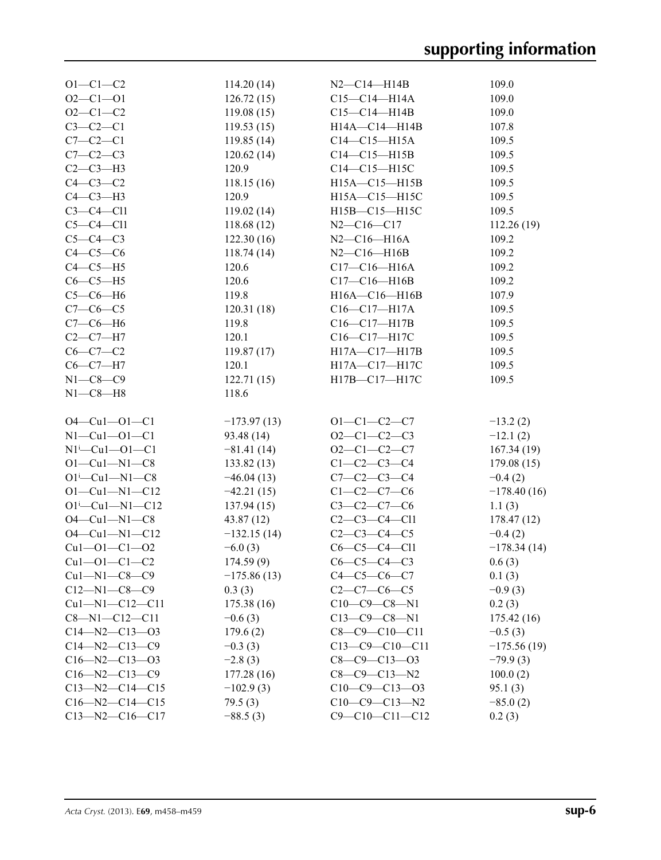| $O1 - C1 - C2$                 | 114.20(14)    | $N2 - C14 - H14B$      | 109.0         |
|--------------------------------|---------------|------------------------|---------------|
| $O2 - C1 - O1$                 | 126.72(15)    | $C15 - C14 - H14A$     | 109.0         |
| $O2 - C1 - C2$                 | 119.08(15)    | $C15-C14-H14B$         | 109.0         |
| $C3-C2-C1$                     | 119.53(15)    | H14A-C14-H14B          | 107.8         |
| $C7-C2-C1$                     | 119.85(14)    | $C14 - C15 - H15A$     | 109.5         |
| $C7-C2-C3$                     | 120.62(14)    | $C14-C15-H15B$         | 109.5         |
| $C2-C3-H3$                     | 120.9         | $C14-C15-H15C$         | 109.5         |
| $C4-C3-C2$                     | 118.15(16)    | H15A-C15-H15B          | 109.5         |
| $C4-C3-H3$                     | 120.9         | H15A-C15-H15C          | 109.5         |
| $C3-C4-C11$                    | 119.02(14)    | H15B-C15-H15C          | 109.5         |
| $C5-C4-C11$                    | 118.68(12)    | $N2 - C16 - C17$       | 112.26(19)    |
| $C5-C4-C3$                     | 122.30(16)    | $N2 - C16 - H16A$      | 109.2         |
| $C4-C5-C6$                     | 118.74(14)    | $N2 - C16 - H16B$      | 109.2         |
| $C4-C5-H5$                     | 120.6         | $C17 - C16 - H16A$     | 109.2         |
| $C6-C5-H5$                     | 120.6         | $C17 - C16 - H16B$     | 109.2         |
| $C5-C6-H6$                     | 119.8         | H16A-C16-H16B          | 107.9         |
| $C7-C6-C5$                     | 120.31(18)    | $C16 - C17 - H17A$     | 109.5         |
| $C7-C6-H6$                     | 119.8         | $C16 - C17 - H17B$     | 109.5         |
| $C2-C7-H7$                     | 120.1         | C16-C17-H17C           | 109.5         |
| $C6-C7-C2$                     | 119.87(17)    | H17A-C17-H17B          | 109.5         |
| $C6-C7-H7$                     | 120.1         | H17A-C17-H17C          | 109.5         |
| $N1 - C8 - C9$                 | 122.71(15)    | H17B-C17-H17C          | 109.5         |
| $N1-C8-H8$                     | 118.6         |                        |               |
|                                |               |                        |               |
| $O4 - Cu1 - O1 - C1$           | $-173.97(13)$ | $O1 - C1 - C2 - C7$    | $-13.2(2)$    |
| $N1 - Cu1 - O1 - C1$           | 93.48 (14)    | $O2-C1-C2-C3$          | $-12.1(2)$    |
| $N1^{i}$ - Cu1 - O1 - C1       | $-81.41(14)$  | $O2-C1-C2-C7$          | 167.34(19)    |
| $O1 - Cu1 - N1 - C8$           | 133.82(13)    | $C1-C2-C3-C4$          | 179.08(15)    |
| $O1^{i}$ -Cu $1$ -N $1$ -C $8$ | $-46.04(13)$  | $C7 - C2 - C3 - C4$    | $-0.4(2)$     |
| $O1 - Cu1 - N1 - C12$          | $-42.21(15)$  | $C1 - C2 - C7 - C6$    | $-178.40(16)$ |
| $O1^{i}$ -Cu1-N1-C12           | 137.94(15)    | $C3-C2-C7-C6$          | 1.1(3)        |
| $O4 - Cu1 - N1 - C8$           | 43.87(12)     | $C2-C3-C4-C11$         | 178.47(12)    |
| $O4 - Cu1 - N1 - C12$          | $-132.15(14)$ | $C2-C3-C4-C5$          | $-0.4(2)$     |
| $Cu1 - O1 - C1 - O2$           | $-6.0(3)$     | $C6-C5-C4-C11$         | $-178.34(14)$ |
| $Cu1 - O1 - C1 - C2$           | 174.59(9)     | $C6-C5-C4-C3$          | 0.6(3)        |
| $Cu1-M1-C8-C9$                 | $-175.86(13)$ | $C4 - C5 - C6 - C7$    | 0.1(3)        |
| $C12 - N1 - C8 - C9$           | 0.3(3)        | $C2-C7-C6-C5$          | $-0.9(3)$     |
| $Cu1 - N1 - C12 - C11$         | 175.38(16)    | $C10-C9-C8-N1$         | 0.2(3)        |
| $C8 - N1 - C12 - C11$          | $-0.6(3)$     | $C13-C9-C8-N1$         | 175.42(16)    |
| $C14 - N2 - C13 - O3$          | 179.6(2)      | $C8-C9-C10-C11$        | $-0.5(3)$     |
| $C14 - N2 - C13 - C9$          | $-0.3(3)$     | $C13-C9-C10-C11$       | $-175.56(19)$ |
| $C16 - N2 - C13 - O3$          | $-2.8(3)$     | $C8 - C9 - C13 - O3$   | $-79.9(3)$    |
| $C16 - N2 - C13 - C9$          | 177.28 (16)   | $C8 - C9 - C13 - N2$   | 100.0(2)      |
| $C13 - N2 - C14 - C15$         | $-102.9(3)$   | $C10-C9-C13-03$        | 95.1(3)       |
| $C16 - N2 - C14 - C15$         | 79.5(3)       | $C10-C9-C13-N2$        | $-85.0(2)$    |
| $C13 - N2 - C16 - C17$         | $-88.5(3)$    | $C9 - C10 - C11 - C12$ | 0.2(3)        |